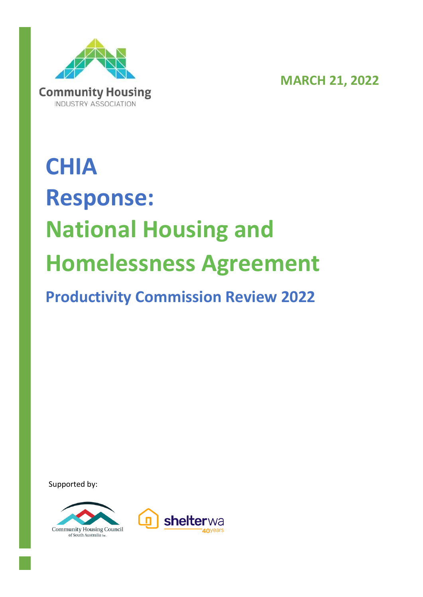

**MARCH 21, 2022**

# **CHIA Response: National Housing and Homelessness Agreement Productivity Commission Review 2022**

Supported by:



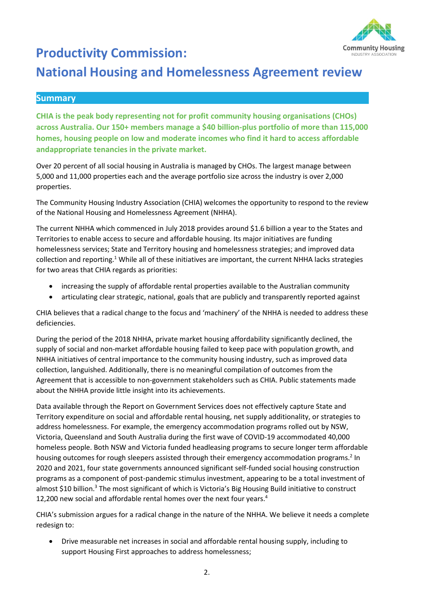

# **Productivity Commission:**

# **National Housing and Homelessness Agreement review**

#### **Summary**

**CHIA is the peak body representing not for profit community housing organisations (CHOs) across Australia. Our 150+ members manage a \$40 billion-plus portfolio of more than 115,000 homes, housing people on low and moderate incomes who find it hard to access affordable andappropriate tenancies in the private market.**

Over 20 percent of all social housing in Australia is managed by CHOs. The largest manage between 5,000 and 11,000 properties each and the average portfolio size across the industry is over 2,000 properties.

The Community Housing Industry Association (CHIA) welcomes the opportunity to respond to the review of the National Housing and Homelessness Agreement (NHHA).

The current NHHA which commenced in July 2018 provides around \$1.6 billion a year to the States and Territories to enable access to secure and affordable housing. Its major initiatives are funding homelessness services; State and Territory housing and homelessness strategies; and improved data collection and reporting.<sup>1</sup> While all of these initiatives are important, the current NHHA lacks strategies for two areas that CHIA regards as priorities:

- increasing the supply of affordable rental properties available to the Australian community
- articulating clear strategic, national, goals that are publicly and transparently reported against

CHIA believes that a radical change to the focus and 'machinery' of the NHHA is needed to address these deficiencies.

During the period of the 2018 NHHA, private market housing affordability significantly declined, the supply of social and non-market affordable housing failed to keep pace with population growth, and NHHA initiatives of central importance to the community housing industry, such as improved data collection, languished. Additionally, there is no meaningful compilation of outcomes from the Agreement that is accessible to non-government stakeholders such as CHIA. Public statements made about the NHHA provide little insight into its achievements.

Data available through the Report on Government Services does not effectively capture State and Territory expenditure on social and affordable rental housing, net supply additionality, or strategies to address homelessness. For example, the emergency accommodation programs rolled out by NSW, Victoria, Queensland and South Australia during the first wave of COVID-19 accommodated 40,000 homeless people. Both NSW and Victoria funded headleasing programs to secure longer term affordable housing outcomes for rough sleepers assisted through their emergency accommodation programs.<sup>2</sup> In 2020 and 2021, four state governments announced significant self-funded social housing construction programs as a component of post-pandemic stimulus investment, appearing to be a total investment of almost \$10 billion.<sup>3</sup> The most significant of which is Victoria's Big Housing Build initiative to construct 12,200 new social and affordable rental homes over the next four years. 4

CHIA's submission argues for a radical change in the nature of the NHHA. We believe it needs a complete redesign to:

• Drive measurable net increases in social and affordable rental housing supply, including to support Housing First approaches to address homelessness;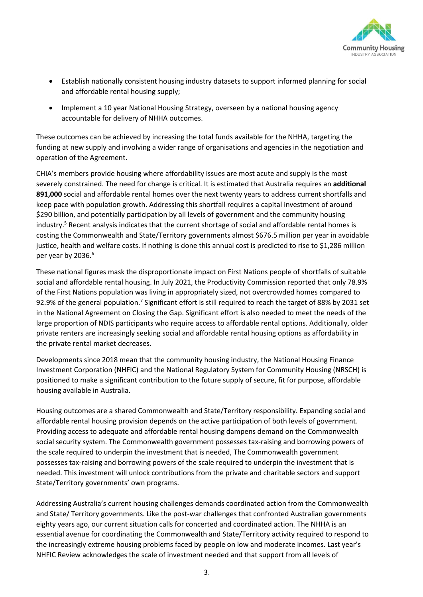

- Establish nationally consistent housing industry datasets to support informed planning for social and affordable rental housing supply;
- Implement a 10 year National Housing Strategy, overseen by a national housing agency accountable for delivery of NHHA outcomes.

These outcomes can be achieved by increasing the total funds available for the NHHA, targeting the funding at new supply and involving a wider range of organisations and agencies in the negotiation and operation of the Agreement.

CHIA's members provide housing where affordability issues are most acute and supply is the most severely constrained. The need for change is critical. It is estimated that Australia requires an **additional 891,000** social and affordable rental homes over the next twenty years to address current shortfalls and keep pace with population growth. Addressing this shortfall requires a capital investment of around \$290 billion, and potentially participation by all levels of government and the community housing industry. <sup>5</sup> Recent analysis indicates that the current shortage of social and affordable rental homes is costing the Commonwealth and State/Territory governments almost \$676.5 million per year in avoidable justice, health and welfare costs. If nothing is done this annual cost is predicted to rise to \$1,286 million per year by 2036. 6

These national figures mask the disproportionate impact on First Nations people of shortfalls of suitable social and affordable rental housing. In July 2021, the Productivity Commission reported that only 78.9% of the First Nations population was living in appropriately sized, not overcrowded homes compared to 92.9% of the general population.<sup>7</sup> Significant effort is still required to reach the target of 88% by 2031 set in the National Agreement on Closing the Gap. Significant effort is also needed to meet the needs of the large proportion of NDIS participants who require access to affordable rental options. Additionally, older private renters are increasingly seeking social and affordable rental housing options as affordability in the private rental market decreases.

Developments since 2018 mean that the community housing industry, the National Housing Finance Investment Corporation (NHFIC) and the National Regulatory System for Community Housing (NRSCH) is positioned to make a significant contribution to the future supply of secure, fit for purpose, affordable housing available in Australia.

Housing outcomes are a shared Commonwealth and State/Territory responsibility. Expanding social and affordable rental housing provision depends on the active participation of both levels of government. Providing access to adequate and affordable rental housing dampens demand on the Commonwealth social security system. The Commonwealth government possesses tax-raising and borrowing powers of the scale required to underpin the investment that is needed, The Commonwealth government possesses tax-raising and borrowing powers of the scale required to underpin the investment that is needed. This investment will unlock contributions from the private and charitable sectors and support State/Territory governments' own programs.

Addressing Australia's current housing challenges demands coordinated action from the Commonwealth and State/ Territory governments. Like the post-war challenges that confronted Australian governments eighty years ago, our current situation calls for concerted and coordinated action. The NHHA is an essential avenue for coordinating the Commonwealth and State/Territory activity required to respond to the increasingly extreme housing problems faced by people on low and moderate incomes. Last year's NHFIC Review acknowledges the scale of investment needed and that support from all levels of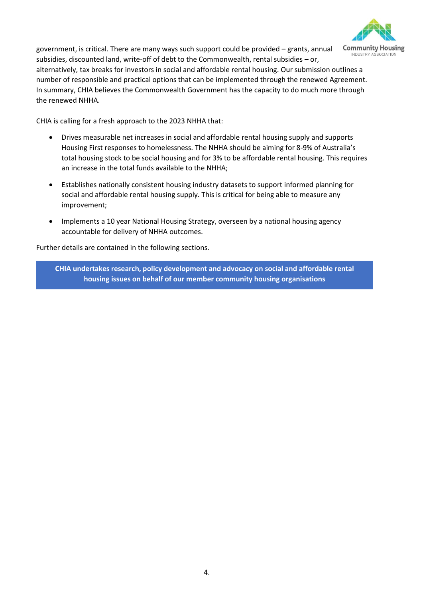

government, is critical. There are many ways such support could be provided – grants, annual subsidies, discounted land, write-off of debt to the Commonwealth, rental subsidies – or, alternatively, tax breaks for investors in social and affordable rental housing. Our submission outlines a number of responsible and practical options that can be implemented through the renewed Agreement. In summary, CHIA believes the Commonwealth Government has the capacity to do much more through the renewed NHHA.

CHIA is calling for a fresh approach to the 2023 NHHA that:

- Drives measurable net increases in social and affordable rental housing supply and supports Housing First responses to homelessness. The NHHA should be aiming for 8-9% of Australia's total housing stock to be social housing and for 3% to be affordable rental housing. This requires an increase in the total funds available to the NHHA;
- Establishes nationally consistent housing industry datasets to support informed planning for social and affordable rental housing supply. This is critical for being able to measure any improvement;
- Implements a 10 year National Housing Strategy, overseen by a national housing agency accountable for delivery of NHHA outcomes.

Further details are contained in the following sections.

**CHIA undertakes research, policy development and advocacy on social and affordable rental housing issues on behalf of our member community housing organisations**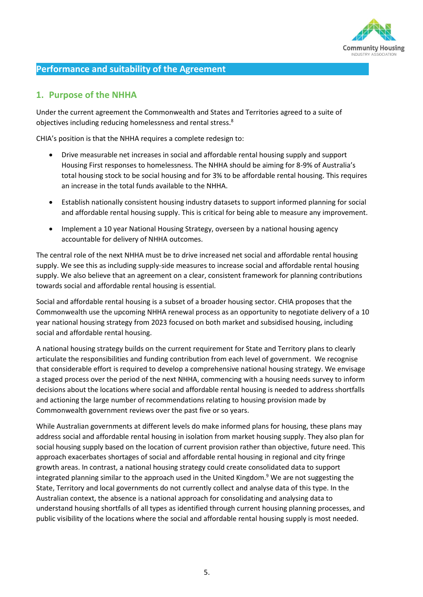

## **Performance and suitability of the Agreement**

#### **1. Purpose of the NHHA**

Under the current agreement the Commonwealth and States and Territories agreed to a suite of objectives including reducing homelessness and rental stress.<sup>8</sup>

CHIA's position is that the NHHA requires a complete redesign to:

- Drive measurable net increases in social and affordable rental housing supply and support Housing First responses to homelessness. The NHHA should be aiming for 8-9% of Australia's total housing stock to be social housing and for 3% to be affordable rental housing. This requires an increase in the total funds available to the NHHA.
- Establish nationally consistent housing industry datasets to support informed planning for social and affordable rental housing supply. This is critical for being able to measure any improvement.
- Implement a 10 year National Housing Strategy, overseen by a national housing agency accountable for delivery of NHHA outcomes.

The central role of the next NHHA must be to drive increased net social and affordable rental housing supply. We see this as including supply-side measures to increase social and affordable rental housing supply. We also believe that an agreement on a clear, consistent framework for planning contributions towards social and affordable rental housing is essential.

Social and affordable rental housing is a subset of a broader housing sector. CHIA proposes that the Commonwealth use the upcoming NHHA renewal process as an opportunity to negotiate delivery of a 10 year national housing strategy from 2023 focused on both market and subsidised housing, including social and affordable rental housing.

A national housing strategy builds on the current requirement for State and Territory plans to clearly articulate the responsibilities and funding contribution from each level of government. We recognise that considerable effort is required to develop a comprehensive national housing strategy. We envisage a staged process over the period of the next NHHA, commencing with a housing needs survey to inform decisions about the locations where social and affordable rental housing is needed to address shortfalls and actioning the large number of recommendations relating to housing provision made by Commonwealth government reviews over the past five or so years.

While Australian governments at different levels do make informed plans for housing, these plans may address social and affordable rental housing in isolation from market housing supply. They also plan for social housing supply based on the location of current provision rather than objective, future need. This approach exacerbates shortages of social and affordable rental housing in regional and city fringe growth areas. In contrast, a national housing strategy could create consolidated data to support integrated planning similar to the approach used in the United Kingdom.<sup>9</sup> We are not suggesting the State, Territory and local governments do not currently collect and analyse data of this type. In the Australian context, the absence is a national approach for consolidating and analysing data to understand housing shortfalls of all types as identified through current housing planning processes, and public visibility of the locations where the social and affordable rental housing supply is most needed.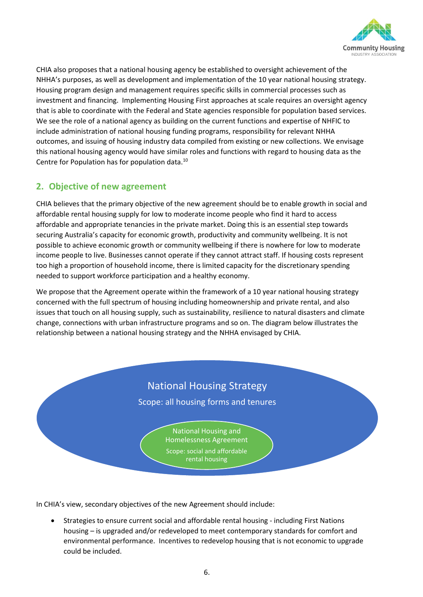

CHIA also proposes that a national housing agency be established to oversight achievement of the NHHA's purposes, as well as development and implementation of the 10 year national housing strategy. Housing program design and management requires specific skills in commercial processes such as investment and financing. Implementing Housing First approaches at scale requires an oversight agency that is able to coordinate with the Federal and State agencies responsible for population based services. We see the role of a national agency as building on the current functions and expertise of NHFIC to include administration of national housing funding programs, responsibility for relevant NHHA outcomes, and issuing of housing industry data compiled from existing or new collections. We envisage this national housing agency would have similar roles and functions with regard to housing data as the Centre for Population has for population data.<sup>10</sup>

# **2. Objective of new agreement**

CHIA believes that the primary objective of the new agreement should be to enable growth in social and affordable rental housing supply for low to moderate income people who find it hard to access affordable and appropriate tenancies in the private market. Doing this is an essential step towards securing Australia's capacity for economic growth, productivity and community wellbeing. It is not possible to achieve economic growth or community wellbeing if there is nowhere for low to moderate income people to live. Businesses cannot operate if they cannot attract staff. If housing costs represent too high a proportion of household income, there is limited capacity for the discretionary spending needed to support workforce participation and a healthy economy.

We propose that the Agreement operate within the framework of a 10 year national housing strategy concerned with the full spectrum of housing including homeownership and private rental, and also issues that touch on all housing supply, such as sustainability, resilience to natural disasters and climate change, connections with urban infrastructure programs and so on. The diagram below illustrates the relationship between a national housing strategy and the NHHA envisaged by CHIA.



In CHIA's view, secondary objectives of the new Agreement should include:

• Strategies to ensure current social and affordable rental housing - including First Nations housing – is upgraded and/or redeveloped to meet contemporary standards for comfort and environmental performance. Incentives to redevelop housing that is not economic to upgrade could be included.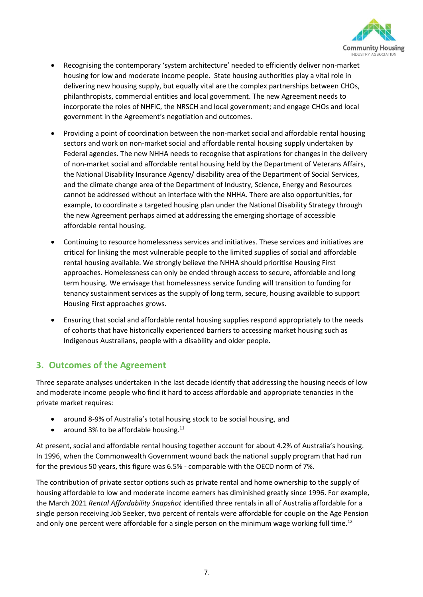

- Recognising the contemporary 'system architecture' needed to efficiently deliver non-market housing for low and moderate income people. State housing authorities play a vital role in delivering new housing supply, but equally vital are the complex partnerships between CHOs, philanthropists, commercial entities and local government. The new Agreement needs to incorporate the roles of NHFIC, the NRSCH and local government; and engage CHOs and local government in the Agreement's negotiation and outcomes.
- Providing a point of coordination between the non-market social and affordable rental housing sectors and work on non-market social and affordable rental housing supply undertaken by Federal agencies. The new NHHA needs to recognise that aspirations for changes in the delivery of non-market social and affordable rental housing held by the Department of Veterans Affairs, the National Disability Insurance Agency/ disability area of the Department of Social Services, and the climate change area of the Department of Industry, Science, Energy and Resources cannot be addressed without an interface with the NHHA. There are also opportunities, for example, to coordinate a targeted housing plan under the National Disability Strategy through the new Agreement perhaps aimed at addressing the emerging shortage of accessible affordable rental housing.
- Continuing to resource homelessness services and initiatives. These services and initiatives are critical for linking the most vulnerable people to the limited supplies of social and affordable rental housing available. We strongly believe the NHHA should prioritise Housing First approaches. Homelessness can only be ended through access to secure, affordable and long term housing. We envisage that homelessness service funding will transition to funding for tenancy sustainment services as the supply of long term, secure, housing available to support Housing First approaches grows.
- Ensuring that social and affordable rental housing supplies respond appropriately to the needs of cohorts that have historically experienced barriers to accessing market housing such as Indigenous Australians, people with a disability and older people.

# **3. Outcomes of the Agreement**

Three separate analyses undertaken in the last decade identify that addressing the housing needs of low and moderate income people who find it hard to access affordable and appropriate tenancies in the private market requires:

- around 8-9% of Australia's total housing stock to be social housing, and
- around 3% to be affordable housing. $11$

At present, social and affordable rental housing together account for about 4.2% of Australia's housing. In 1996, when the Commonwealth Government wound back the national supply program that had run for the previous 50 years, this figure was 6.5% - comparable with the OECD norm of 7%.

The contribution of private sector options such as private rental and home ownership to the supply of housing affordable to low and moderate income earners has diminished greatly since 1996. For example, the March 2021 *Rental Affordability Snapshot* identified three rentals in all of Australia affordable for a single person receiving Job Seeker, two percent of rentals were affordable for couple on the Age Pension and only one percent were affordable for a single person on the minimum wage working full time.<sup>12</sup>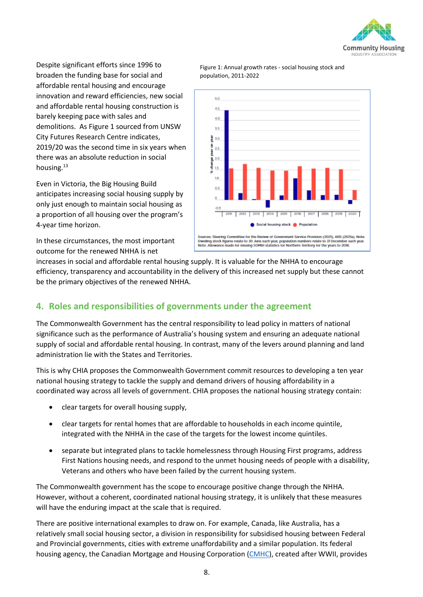

Despite significant efforts since 1996 to broaden the funding base for social and affordable rental housing and encourage innovation and reward efficiencies, new social and affordable rental housing construction is barely keeping pace with sales and demolitions. As Figure 1 sourced from UNSW City Futures Research Centre indicates, 2019/20 was the second time in six years when there was an absolute reduction in social housing.<sup>13</sup>

Even in Victoria, the Big Housing Build anticipates increasing social housing supply by only just enough to maintain social housing as a proportion of all housing over the program's 4-year time horizon.

In these circumstances, the most important outcome for the renewed NHHA is net



Figure 1: Annual growth rates - social housing stock and population, 2011-2022

increases in social and affordable rental housing supply. It is valuable for the NHHA to encourage efficiency, transparency and accountability in the delivery of this increased net supply but these cannot be the primary objectives of the renewed NHHA.

# **4. Roles and responsibilities of governments under the agreement**

The Commonwealth Government has the central responsibility to lead policy in matters of national significance such as the performance of Australia's housing system and ensuring an adequate national supply of social and affordable rental housing. In contrast, many of the levers around planning and land administration lie with the States and Territories.

This is why CHIA proposes the Commonwealth Government commit resources to developing a ten year national housing strategy to tackle the supply and demand drivers of housing affordability in a coordinated way across all levels of government. CHIA proposes the national housing strategy contain:

- clear targets for overall housing supply,
- clear targets for rental homes that are affordable to households in each income quintile, integrated with the NHHA in the case of the targets for the lowest income quintiles.
- separate but integrated plans to tackle homelessness through Housing First programs, address First Nations housing needs, and respond to the unmet housing needs of people with a disability, Veterans and others who have been failed by the current housing system.

The Commonwealth government has the scope to encourage positive change through the NHHA. However, without a coherent, coordinated national housing strategy, it is unlikely that these measures will have the enduring impact at the scale that is required.

There are positive international examples to draw on. For example, Canada, like Australia, has a relatively small social housing sector, a division in responsibility for subsidised housing between Federal and Provincial governments, cities with extreme unaffordability and a similar population. Its federal housing agency, the Canadian Mortgage and Housing Corporation [\(CMHC\)](https://www.cmhc-schl.gc.ca/en), created after WWII, provides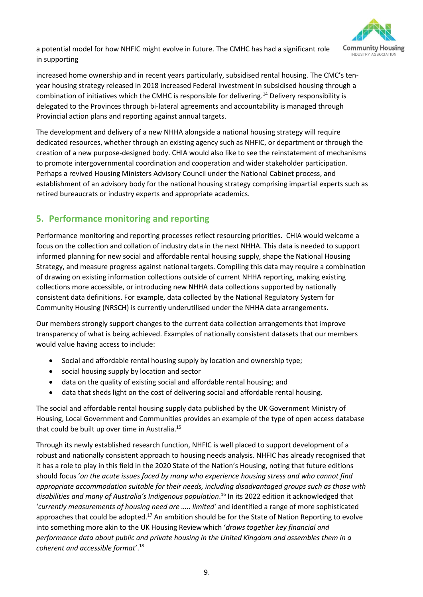a potential model for how NHFIC might evolve in future. The CMHC has had a significant role in supporting



increased home ownership and in recent years particularly, subsidised rental housing. The CMC's tenyear housing strategy released in 2018 increased Federal investment in subsidised housing through a combination of initiatives which the CMHC is responsible for delivering.<sup>14</sup> Delivery responsibility is delegated to the Provinces through bi-lateral agreements and accountability is managed through Provincial action plans and reporting against annual targets.

The development and delivery of a new NHHA alongside a national housing strategy will require dedicated resources, whether through an existing agency such as NHFIC, or department or through the creation of a new purpose-designed body. CHIA would also like to see the reinstatement of mechanisms to promote intergovernmental coordination and cooperation and wider stakeholder participation. Perhaps a revived Housing Ministers Advisory Council under the National Cabinet process, and establishment of an advisory body for the national housing strategy comprising impartial experts such as retired bureaucrats or industry experts and appropriate academics.

# **5. Performance monitoring and reporting**

Performance monitoring and reporting processes reflect resourcing priorities. CHIA would welcome a focus on the collection and collation of industry data in the next NHHA. This data is needed to support informed planning for new social and affordable rental housing supply, shape the National Housing Strategy, and measure progress against national targets. Compiling this data may require a combination of drawing on existing information collections outside of current NHHA reporting, making existing collections more accessible, or introducing new NHHA data collections supported by nationally consistent data definitions. For example, data collected by the National Regulatory System for Community Housing (NRSCH) is currently underutilised under the NHHA data arrangements.

Our members strongly support changes to the current data collection arrangements that improve transparency of what is being achieved. Examples of nationally consistent datasets that our members would value having access to include:

- Social and affordable rental housing supply by location and ownership type;
- social housing supply by location and sector
- data on the quality of existing social and affordable rental housing; and
- data that sheds light on the cost of delivering social and affordable rental housing.

The social and affordable rental housing supply data published by the UK Government Ministry of Housing, Local Government and Communities provides an example of the type of open access database that could be built up over time in Australia.<sup>15</sup>

Through its newly established research function, NHFIC is well placed to support development of a robust and nationally consistent approach to housing needs analysis. NHFIC has already recognised that it has a role to play in this field in the 2020 State of the Nation's Housing, noting that future editions should focus '*on the acute issues faced by many who experience housing stress and who cannot find appropriate accommodation suitable for their needs, including disadvantaged groups such as those with disabilities and many of Australia's Indigenous population*. <sup>16</sup> In its 2022 edition it acknowledged that '*currently measurements of housing need are ….. limited'* and identified a range of more sophisticated approaches that could be adopted.<sup>17</sup> An ambition should be for the State of Nation Reporting to evolve into something more akin to the UK Housing Review which '*draws together key financial and performance data about public and private housing in the United Kingdom and assembles them in a coherent and accessible format*'.18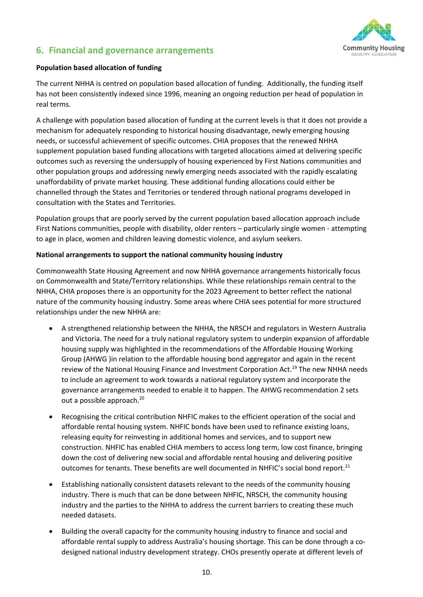

## **6. Financial and governance arrangements**

#### **Population based allocation of funding**

The current NHHA is centred on population based allocation of funding. Additionally, the funding itself has not been consistently indexed since 1996, meaning an ongoing reduction per head of population in real terms.

A challenge with population based allocation of funding at the current levels is that it does not provide a mechanism for adequately responding to historical housing disadvantage, newly emerging housing needs, or successful achievement of specific outcomes. CHIA proposes that the renewed NHHA supplement population based funding allocations with targeted allocations aimed at delivering specific outcomes such as reversing the undersupply of housing experienced by First Nations communities and other population groups and addressing newly emerging needs associated with the rapidly escalating unaffordability of private market housing. These additional funding allocations could either be channelled through the States and Territories or tendered through national programs developed in consultation with the States and Territories.

Population groups that are poorly served by the current population based allocation approach include First Nations communities, people with disability, older renters – particularly single women - attempting to age in place, women and children leaving domestic violence, and asylum seekers.

#### **National arrangements to support the national community housing industry**

Commonwealth State Housing Agreement and now NHHA governance arrangements historically focus on Commonwealth and State/Territory relationships. While these relationships remain central to the NHHA, CHIA proposes there is an opportunity for the 2023 Agreement to better reflect the national nature of the community housing industry. Some areas where CHIA sees potential for more structured relationships under the new NHHA are:

- A strengthened relationship between the NHHA, the NRSCH and regulators in Western Australia and Victoria. The need for a truly national regulatory system to underpin expansion of affordable housing supply was highlighted in the recommendations of the Affordable Housing Working Group (AHWG )in relation to the affordable housing bond aggregator and again in the recent review of the National Housing Finance and Investment Corporation Act.<sup>19</sup> The new NHHA needs to include an agreement to work towards a national regulatory system and incorporate the governance arrangements needed to enable it to happen. The AHWG recommendation 2 sets out a possible approach.<sup>20</sup>
- Recognising the critical contribution NHFIC makes to the efficient operation of the social and affordable rental housing system. NHFIC bonds have been used to refinance existing loans, releasing equity for reinvesting in additional homes and services, and to support new construction. NHFIC has enabled CHIA members to access long term, low cost finance, bringing down the cost of delivering new social and affordable rental housing and delivering positive outcomes for tenants. These benefits are well documented in NHFIC's social bond report.<sup>21</sup>
- Establishing nationally consistent datasets relevant to the needs of the community housing industry. There is much that can be done between NHFIC, NRSCH, the community housing industry and the parties to the NHHA to address the current barriers to creating these much needed datasets.
- Building the overall capacity for the community housing industry to finance and social and affordable rental supply to address Australia's housing shortage. This can be done through a codesigned national industry development strategy. CHOs presently operate at different levels of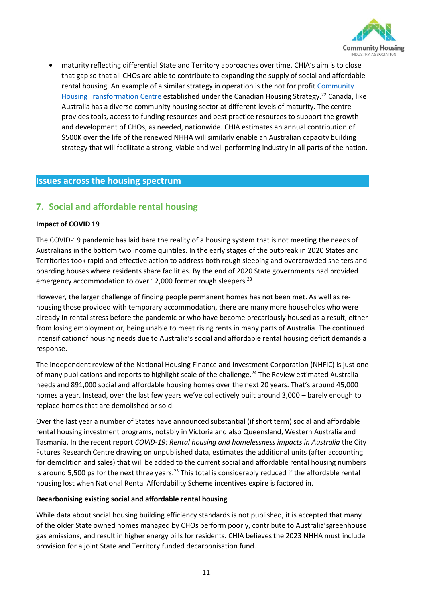

• maturity reflecting differential State and Territory approaches over time. CHIA's aim is to close that gap so that all CHOs are able to contribute to expanding the supply of social and affordable rental housing. An example of a similar strategy in operation is the not for profit [Community](https://www.cmhc-schl.gc.ca/en/professionals/project-funding-and-mortgage-financing/funding-programs/community-housing/chtc)  [Housing Transformation](https://www.cmhc-schl.gc.ca/en/professionals/project-funding-and-mortgage-financing/funding-programs/community-housing/chtc) Centre established under the Canadian Housing Strategy.<sup>22</sup> Canada, like Australia has a diverse community housing sector at different levels of maturity. The centre provides tools, access to funding resources and best practice resources to support the growth and development of CHOs, as needed, nationwide. CHIA estimates an annual contribution of \$500K over the life of the renewed NHHA will similarly enable an Australian capacity building strategy that will facilitate a strong, viable and well performing industry in all parts of the nation.

#### **Issues across the housing spectrum**

# **7. Social and affordable rental housing**

#### **Impact of COVID 19**

The COVID-19 pandemic has laid bare the reality of a housing system that is not meeting the needs of Australians in the bottom two income quintiles. In the early stages of the outbreak in 2020 States and Territories took rapid and effective action to address both rough sleeping and overcrowded shelters and boarding houses where residents share facilities. By the end of 2020 State governments had provided emergency accommodation to over 12,000 former rough sleepers.<sup>23</sup>

However, the larger challenge of finding people permanent homes has not been met. As well as rehousing those provided with temporary accommodation, there are many more households who were already in rental stress before the pandemic or who have become precariously housed as a result, either from losing employment or, being unable to meet rising rents in many parts of Australia. The continued intensificationof housing needs due to Australia's social and affordable rental housing deficit demands a response.

The independent review of the National Housing Finance and Investment Corporation (NHFIC) is just one of many publications and reports to highlight scale of the challenge.<sup>24</sup> The Review estimated Australia needs and 891,000 social and affordable housing homes over the next 20 years. That's around 45,000 homes a year. Instead, over the last few years we've collectively built around 3,000 – barely enough to replace homes that are demolished or sold.

Over the last year a number of States have announced substantial (if short term) social and affordable rental housing investment programs, notably in Victoria and also Queensland, Western Australia and Tasmania. In the recent report *COVID-19: Rental housing and homelessness impacts in Australia* the City Futures Research Centre drawing on unpublished data, estimates the additional units (after accounting for demolition and sales) that will be added to the current social and affordable rental housing numbers is around 5,500 pa for the next three years.<sup>25</sup> This total is considerably reduced if the affordable rental housing lost when National Rental Affordability Scheme incentives expire is factored in.

#### **Decarbonising existing social and affordable rental housing**

While data about social housing building efficiency standards is not published, it is accepted that many of the older State owned homes managed by CHOs perform poorly, contribute to Australia'sgreenhouse gas emissions, and result in higher energy bills for residents. CHIA believes the 2023 NHHA must include provision for a joint State and Territory funded decarbonisation fund.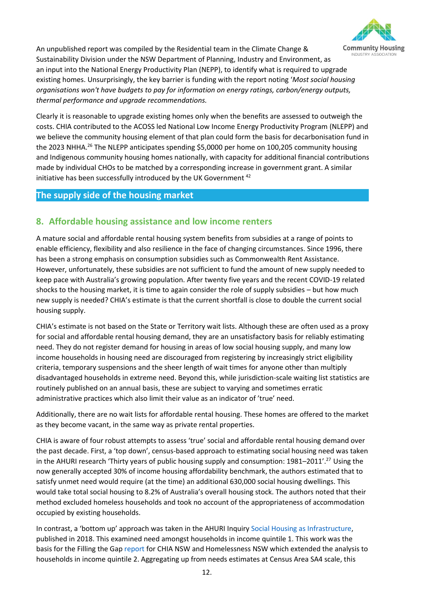

An unpublished report was compiled by the Residential team in the Climate Change & Sustainability Division under the NSW Department of Planning, Industry and Environment, as an input into the National Energy Productivity Plan (NEPP), to identify what is required to upgrade existing homes. Unsurprisingly, the key barrier is funding with the report noting '*Most social housing organisations won't have budgets to pay for information on energy ratings, carbon/energy outputs, thermal performance and upgrade recommendations.*

Clearly it is reasonable to upgrade existing homes only when the benefits are assessed to outweigh the costs. CHIA contributed to the ACOSS led National Low Income Energy Productivity Program (NLEPP) and we believe the community housing element of that plan could form the basis for decarbonisation fund in the 2023 NHHA.<sup>26</sup> The NLEPP anticipates spending \$5,0000 per home on 100,205 community housing and Indigenous community housing homes nationally, with capacity for additional financial contributions made by individual CHOs to be matched by a corresponding increase in government grant. A similar initiative has been successfully introduced by the UK Government<sup>42</sup>

## **The supply side of the housing market**

# **8. Affordable housing assistance and low income renters**

A mature social and affordable rental housing system benefits from subsidies at a range of points to enable efficiency, flexibility and also resilience in the face of changing circumstances. Since 1996, there has been a strong emphasis on consumption subsidies such as Commonwealth Rent Assistance. However, unfortunately, these subsidies are not sufficient to fund the amount of new supply needed to keep pace with Australia's growing population. After twenty five years and the recent COVID-19 related shocks to the housing market, it is time to again consider the role of supply subsidies – but how much new supply is needed? CHIA's estimate is that the current shortfall is close to double the current social housing supply.

CHIA's estimate is not based on the State or Territory wait lists. Although these are often used as a proxy for social and affordable rental housing demand, they are an unsatisfactory basis for reliably estimating need. They do not register demand for housing in areas of low social housing supply, and many low income households in housing need are discouraged from registering by increasingly strict eligibility criteria, temporary suspensions and the sheer length of wait times for anyone other than multiply disadvantaged households in extreme need. Beyond this, while jurisdiction-scale waiting list statistics are routinely published on an annual basis, these are subject to varying and sometimes erratic administrative practices which also limit their value as an indicator of 'true' need.

Additionally, there are no wait lists for affordable rental housing. These homes are offered to the market as they become vacant, in the same way as private rental properties.

CHIA is aware of four robust attempts to assess 'true' social and affordable rental housing demand over the past decade. First, a 'top down', census-based approach to estimating social housing need was taken in the AHURI research 'Thirty years of public housing supply and consumption: 1981–2011'.<sup>27</sup> Using the now generally accepted 30% of income housing affordability benchmark, the authors estimated that to satisfy unmet need would require (at the time) an additional 630,000 social housing dwellings. This would take total social housing to 8.2% of Australia's overall housing stock. The authors noted that their method excluded homeless households and took no account of the appropriateness of accommodation occupied by existing households.

In contrast, a 'bottom up' approach was taken in the AHURI Inquir[y Social Housing as Infrastructure,](https://www.ahuri.edu.au/research/final-reports/306) published in 2018. This examined need amongst households in income quintile 1. This work was the basis for the Filling the Gap [report](https://cityfutures.ada.unsw.edu.au/research/projects/filling-the-gap/) for CHIA NSW and Homelessness NSW which extended the analysis to households in income quintile 2. Aggregating up from needs estimates at Census Area SA4 scale, this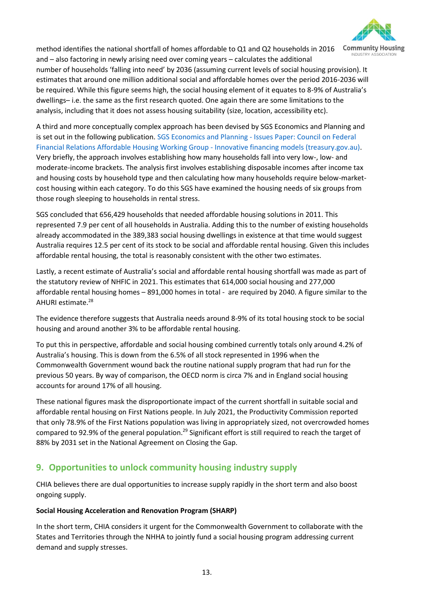

method identifies the national shortfall of homes affordable to Q1 and Q2 households in 2016 and – also factoring in newly arising need over coming years – calculates the additional number of households 'falling into need' by 2036 (assuming current levels of social housing provision). It

estimates that around one million additional social and affordable homes over the period 2016-2036 will be required. While this figure seems high, the social housing element of it equates to 8-9% of Australia's dwellings– i.e. the same as the first research quoted. One again there are some limitations to the analysis, including that it does not assess housing suitability (size, location, accessibility etc).

A third and more conceptually complex approach has been devised by SGS Economics and Planning and is set out in the following publication. SGS Economics and Planning - [Issues Paper: Council on Federal](https://cdn.treasury.gov.au/uploads/sites/1/2017/06/C2016-050_SGS_Economics_and_Planning.pdf)  [Financial Relations Affordable Housing Working Group -](https://cdn.treasury.gov.au/uploads/sites/1/2017/06/C2016-050_SGS_Economics_and_Planning.pdf) Innovative financing models (treasury.gov.au). Very briefly, the approach involves establishing how many households fall into very low-, low- and moderate-income brackets. The analysis first involves establishing disposable incomes after income tax and housing costs by household type and then calculating how many households require below-marketcost housing within each category. To do this SGS have examined the housing needs of six groups from those rough sleeping to households in rental stress.

SGS concluded that 656,429 households that needed affordable housing solutions in 2011. This represented 7.9 per cent of all households in Australia. Adding this to the number of existing households already accommodated in the 389,383 social housing dwellings in existence at that time would suggest Australia requires 12.5 per cent of its stock to be social and affordable rental housing. Given this includes affordable rental housing, the total is reasonably consistent with the other two estimates.

Lastly, a recent estimate of Australia's social and affordable rental housing shortfall was made as part of the statutory review of NHFIC in 2021. This estimates that 614,000 social housing and 277,000 affordable rental housing homes – 891,000 homes in total - are required by 2040. A figure similar to the AHURI estimate.<sup>28</sup>

The evidence therefore suggests that Australia needs around 8-9% of its total housing stock to be social housing and around another 3% to be affordable rental housing.

To put this in perspective, affordable and social housing combined currently totals only around 4.2% of Australia's housing. This is down from the 6.5% of all stock represented in 1996 when the Commonwealth Government wound back the routine national supply program that had run for the previous 50 years. By way of comparison, the OECD norm is circa 7% and in England social housing accounts for around 17% of all housing.

These national figures mask the disproportionate impact of the current shortfall in suitable social and affordable rental housing on First Nations people. In July 2021, the Productivity Commission reported that only 78.9% of the First Nations population was living in appropriately sized, not overcrowded homes compared to 92.9% of the general population.<sup>29</sup> Significant effort is still required to reach the target of 88% by 2031 set in the National Agreement on Closing the Gap.

# **9. Opportunities to unlock community housing industry supply**

CHIA believes there are dual opportunities to increase supply rapidly in the short term and also boost ongoing supply.

#### **Social Housing Acceleration and Renovation Program (SHARP)**

In the short term, CHIA considers it urgent for the Commonwealth Government to collaborate with the States and Territories through the NHHA to jointly fund a social housing program addressing current demand and supply stresses.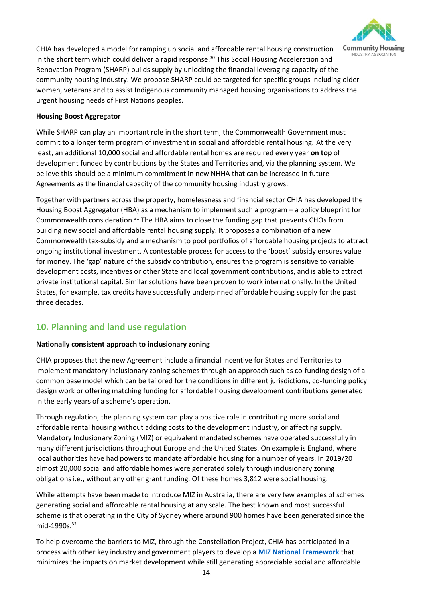

CHIA has developed a model for ramping up social and affordable rental housing construction in the short term which could deliver a rapid response. <sup>30</sup> This Social Housing Acceleration and Renovation Program (SHARP) builds supply by unlocking the financial leveraging capacity of the community housing industry. We propose SHARP could be targeted for specific groups including older women, veterans and to assist Indigenous community managed housing organisations to address the urgent housing needs of First Nations peoples.

#### **Housing Boost Aggregator**

While SHARP can play an important role in the short term, the Commonwealth Government must commit to a longer term program of investment in social and affordable rental housing. At the very least, an additional 10,000 social and affordable rental homes are required every year **on top** of development funded by contributions by the States and Territories and, via the planning system. We believe this should be a minimum commitment in new NHHA that can be increased in future Agreements as the financial capacity of the community housing industry grows.

Together with partners across the property, homelessness and financial sector CHIA has developed the Housing Boost Aggregator (HBA) as a mechanism to implement such a program – a policy blueprint for Commonwealth consideration. $31$  The HBA aims to close the funding gap that prevents CHOs from building new social and affordable rental housing supply. It proposes a combination of a new Commonwealth tax-subsidy and a mechanism to pool portfolios of affordable housing projects to attract ongoing institutional investment. A contestable process for access to the 'boost' subsidy ensures value for money. The 'gap' nature of the subsidy contribution, ensures the program is sensitive to variable development costs, incentives or other State and local government contributions, and is able to attract private institutional capital. Similar solutions have been proven to work internationally. In the United States, for example, tax credits have successfully underpinned affordable housing supply for the past three decades.

# **10. Planning and land use regulation**

#### **Nationally consistent approach to inclusionary zoning**

CHIA proposes that the new Agreement include a financial incentive for States and Territories to implement mandatory inclusionary zoning schemes through an approach such as co-funding design of a common base model which can be tailored for the conditions in different jurisdictions, co-funding policy design work or offering matching funding for affordable housing development contributions generated in the early years of a scheme's operation.

Through regulation, the planning system can play a positive role in contributing more social and affordable rental housing without adding costs to the development industry, or affecting supply. Mandatory Inclusionary Zoning (MIZ) or equivalent mandated schemes have operated successfully in many different jurisdictions throughout Europe and the United States. On example is England, where local authorities have had powers to mandate affordable housing for a number of years. In 2019/20 almost 20,000 social and affordable homes were generated solely through inclusionary zoning obligations i.e., without any other grant funding. Of these homes 3,812 were social housing.

While attempts have been made to introduce MIZ in Australia, there are very few examples of schemes generating social and affordable rental housing at any scale. The best known and most successful scheme is that operating in the City of Sydney where around 900 homes have been generated since the mid-1990s.<sup>32</sup>

To help overcome the barriers to MIZ, through the Constellation Project, CHIA has participated in a process with other key industry and government players to develop a **[MIZ National Framework](https://www.communityhousing.com.au/wp-content/uploads/2021/09/Mandatory-Inclusionary-Zoning_Final.pdf)** that minimizes the impacts on market development while still generating appreciable social and affordable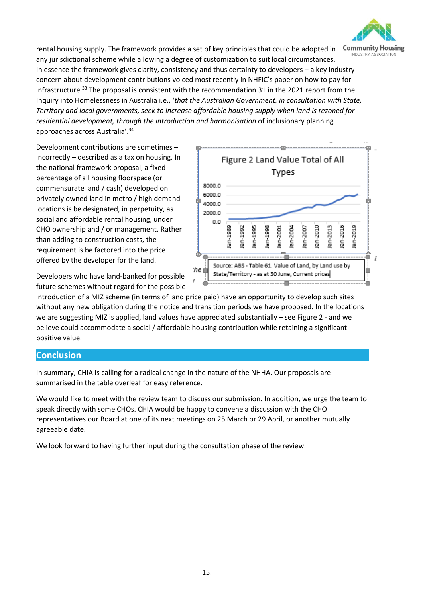

rental housing supply. The framework provides a set of key principles that could be adopted in any jurisdictional scheme while allowing a degree of customization to suit local circumstances. In essence the framework gives clarity, consistency and thus certainty to developers – a key industry concern about development contributions voiced most recently in NHFIC's paper on how to pay for infrastructure.<sup>33</sup> The proposal is consistent with the recommendation 31 in the 2021 report from the Inquiry into Homelessness in Australia i.e., '*that the Australian Government, in consultation with State, Territory and local governments, seek to increase affordable housing supply when land is rezoned for residential development, through the introduction and harmonisation* of inclusionary planning approaches across Australia'.<sup>34</sup>

Development contributions are sometimes – incorrectly – described as a tax on housing. In the national framework proposal, a fixed percentage of all housing floorspace (or commensurate land / cash) developed on privately owned land in metro / high demand locations is be designated, in perpetuity, as social and affordable rental housing, under CHO ownership and / or management. Rather than adding to construction costs, the requirement is be factored into the price offered by the developer for the land.

Figure 2 Land Value Total of All Types 8000.0 6000.0 4000.0 2000.0 o o 2019 lan-1989 lan-1992 an-1995 lan-2010 lan-2013 lan-2016 an-1998 lan-2001 an-2004 衁 j Source: ABS - Table 61. Value of Land, by Land use by :he I State/Territory - as at 30 June, Current prices

Developers who have land-banked for possible future schemes without regard for the possible

introduction of a MIZ scheme (in terms of land price paid) have an opportunity to develop such sites without any new obligation during the notice and transition periods we have proposed. In the locations we are suggesting MIZ is applied, land values have appreciated substantially – see Figure 2 - and we believe could accommodate a social / affordable housing contribution while retaining a significant positive value.

#### **Conclusion**

In summary, CHIA is calling for a radical change in the nature of the NHHA. Our proposals are summarised in the table overleaf for easy reference.

We would like to meet with the review team to discuss our submission. In addition, we urge the team to speak directly with some CHOs. CHIA would be happy to convene a discussion with the CHO representatives our Board at one of its next meetings on 25 March or 29 April, or another mutually agreeable date.

We look forward to having further input during the consultation phase of the review.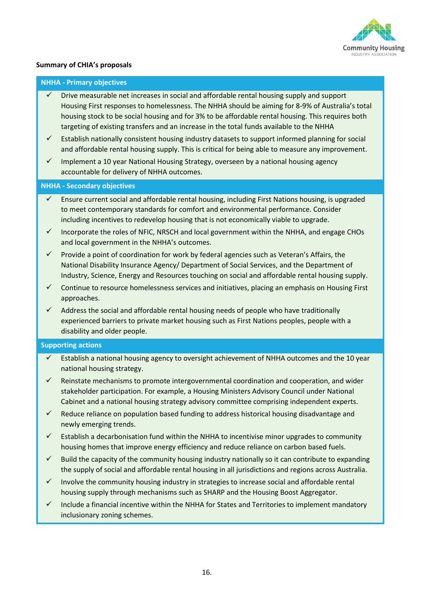

#### **Summary of CHIA's proposals**

#### **NHHA - Primary objectives**

- Drive measurable net increases in social and affordable rental housing supply and support Housing First responses to homelessness. The NHHA should be aiming for 8-9% of Australia's total housing stock to be social housing and for 3% to be affordable rental housing. This requires both targeting of existing transfers and an increase in the total funds available to the NHHA
- $\checkmark$  Establish nationally consistent housing industry datasets to support informed planning for social and affordable rental housing supply. This is critical for being able to measure any improvement.
- $\checkmark$  Implement a 10 year National Housing Strategy, overseen by a national housing agency accountable for delivery of NHHA outcomes.

#### **NHHA - Secondary objectives**

- $\checkmark$  Ensure current social and affordable rental housing, including First Nations housing, is upgraded to meet contemporary standards for comfort and environmental performance. Consider including incentives to redevelop housing that is not economically viable to upgrade.
- $\checkmark$  Incorporate the roles of NFIC, NRSCH and local government within the NHHA, and engage CHOs and local government in the NHHA's outcomes.
- $\checkmark$  Provide a point of coordination for work by federal agencies such as Veteran's Affairs, the National Disability Insurance Agency/ Department of Social Services, and the Department of Industry, Science, Energy and Resources touching on social and affordable rental housing supply.
- $\checkmark$  Continue to resource homelessness services and initiatives, placing an emphasis on Housing First approaches.
- $\checkmark$  Address the social and affordable rental housing needs of people who have traditionally experienced barriers to private market housing such as First Nations peoples, people with a disability and older people.

#### **Supporting actions**

- Establish a national housing agency to oversight achievement of NHHA outcomes and the 10 year national housing strategy.
- Reinstate mechanisms to promote intergovernmental coordination and cooperation, and wider stakeholder participation. For example, a Housing Ministers Advisory Council under National Cabinet and a national housing strategy advisory committee comprising independent experts.
- $\checkmark$  Reduce reliance on population based funding to address historical housing disadvantage and newly emerging trends.
- $\checkmark$  Establish a decarbonisation fund within the NHHA to incentivise minor upgrades to community housing homes that improve energy efficiency and reduce reliance on carbon based fuels.
- $\checkmark$  Build the capacity of the community housing industry nationally so it can contribute to expanding the supply of social and affordable rental housing in all jurisdictions and regions across Australia.
- Involve the community housing industry in strategies to increase social and affordable rental housing supply through mechanisms such as SHARP and the Housing Boost Aggregator.
- $\checkmark$  Include a financial incentive within the NHHA for States and Territories to implement mandatory inclusionary zoning schemes.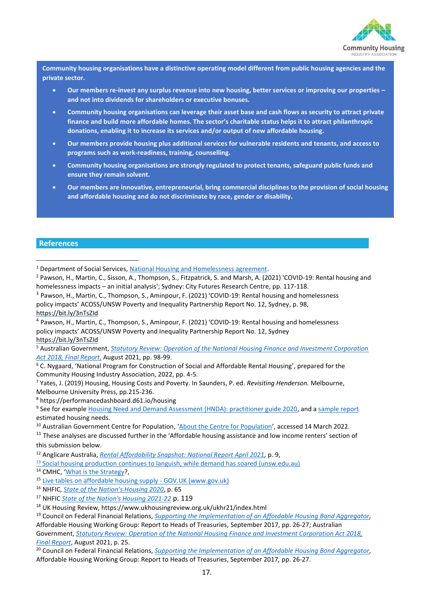

**Community housing organisations have a distinctive operating model different from public housing agencies and the private sector.**

- **Our members re-invest any surplus revenue into new housing, better services or improving our properties – and not into dividends for shareholders or executive bonuses.**
- **Community housing organisations can leverage their asset base and cash flows as security to attract private finance and build more affordable homes. The sector's charitable status helps it to attract philanthropic donations, enabling it to increase its services and/or output of new affordable housing.**
- **Our members provide housing plus additional services for vulnerable residents and tenants, and access to programs such as work-readiness, training, counselling.**
- **Community housing organisations are strongly regulated to protect tenants, safeguard public funds and ensure they remain solvent.**
- **Our members are innovative, entrepreneurial, bring commercial disciplines to the provision of social housing and affordable housing and do not discriminate by race, gender or disability.**

#### **References**

<sup>3</sup> Pawson, H., Martin, C., Thompson, S., Aminpour, F. (2021) 'COVID-19: Rental housing and homelessness policy impacts' ACOSS/UNSW Poverty and Inequality Partnership Report No. 12, Sydney, p. 98, <https://bit.ly/3nTsZId>

4 Pawson, H., Martin, C., Thompson, S., Aminpour, F. (2021) 'COVID-19: Rental housing and homelessness policy impacts' ACOSS/UNSW Poverty and Inequality Partnership Report No. 12, Sydney <https://bit.ly/3nTsZId>

<sup>5</sup> Australian Government, *[Statutory Review: Operation of the National Housing Finance and Investment Corporation](https://treasury.gov.au/publication/p2021-217760)  [Act 2018, Final Report](https://treasury.gov.au/publication/p2021-217760)*, August 2021, pp. 98-99.

<sup>7</sup> Yates, J. (2019) Housing, Housing Costs and Poverty. In Saunders, P. ed. *Revisiting Henderson.* Melbourne, Melbourne University Press, pp.215-236.

<sup>8</sup> https://performancedashboard.d61.io/housing

<sup>9</sup> See for example **Housing Need and Demand Assessment (HNDA)**: practitioner guide 2020, and a [sample report](https://assets.publishing.service.gov.uk/government/uploads/system/uploads/attachment_data/file/6338/1776873.pdf) estimated housing needs.

<sup>10</sup> Australian Government Centre for Population, '[About the Centre for Population](https://population.gov.au/about)', accessed 14 March 2022.

 $11$  These analyses are discussed further in the 'Affordable housing assistance and low income renters' section of this submission below.

<sup>12</sup> Anglicare Australia, *[Rental Affordability Snapshot: National Report April 2021,](https://www.anglicare.asn.au/wp-content/uploads/2021/05/rental-affordability-snapshot-national-report.pdf)* p. 9,

 $13$  [Social housing production continues to languish, while demand has soared \(unsw.edu.au\)](https://blogs.unsw.edu.au/cityfutures/blog/2021/01/social-housing-production-continues-to-languish-while-demand-is-soaring/)

<sup>14</sup> CMHC. '[What is the Strategy?](https://www.cmhc-schl.gc.ca/en/nhs/guidepage-strategy).

15 [Live tables on affordable housing supply -](https://www.gov.uk/government/statistical-data-sets/live-tables-on-affordable-housing-supply) GOV.UK (www.gov.uk)

<sup>16</sup> NHFIC, *[State of the Nation's Housing 2020](https://www.nhfic.gov.au/media/1621/nhfic_state-of-the-nations-housing-report_accessible-updated.pdf)*, p. 65

<sup>17</sup> NHFIC *[State of the Nation's Housing 2021-22](https://www.nhfic.gov.au/media/1814/nhfic-state-of-the-nations-housing-2021-22-full-final.pdf)* p. 119

<sup>18</sup> UK Housing Review, https://www.ukhousingreview.org.uk/ukhr21/index.html

<sup>19</sup> Council on Federal Financial Relations, *[Supporting the Implementation of an Affordable Housing Bond Aggregator,](https://treasury.gov.au/sites/default/files/2019-03/170921-AHWG-final-for-publication.pdf)*  Affordable Housing Working Group: Report to Heads of Treasuries, September 2017, pp. 26-27; Australian Government, *[Statutory Review: Operation of the National Housing Finance and Investment Corporation Act 2018,](https://treasury.gov.au/sites/default/files/2021-10/p2021-217760.pdf.)* 

*[Final Report](https://treasury.gov.au/sites/default/files/2021-10/p2021-217760.pdf.)*, August 2021, p. 25.

<sup>20</sup> Council on Federal Financial Relations, *[Supporting the Implementation of an Affordable Housing Bond Aggregator,](https://treasury.gov.au/sites/default/files/2019-03/170921-AHWG-final-for-publication.pdf)*  Affordable Housing Working Group: Report to Heads of Treasuries, September 2017, pp. 26-27.

<sup>&</sup>lt;sup>1</sup> Department of Social Services[, National Housing and Homelessness agreement.](https://www.dss.gov.au/housing-support-programs-services-homelessness/national-housing-and-homelessness-agreement)

<sup>2</sup> Pawson, H., Martin, C., Sisson, A., Thompson, S., Fitzpatrick, S. and Marsh, A. (2021) 'COVID-19: Rental housing and homelessness impacts – an initial analysis'; Sydney: City Futures Research Centre, pp. 117-118.

 $6$  C. Nygaard, 'National Program for Construction of Social and Affordable Rental Housing', prepared for the Community Housing Industry Association, 2022, pp. 4-5.